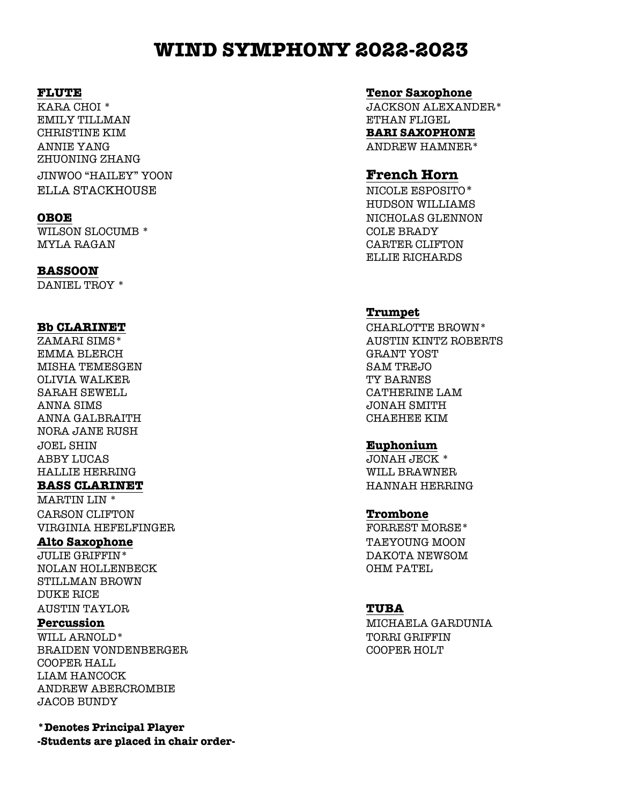## **WIND SYMPHONY 2022-2023**

KARA CHOI \* JACKSON ALEXANDER\* EMILY TILLMAN ETHAN FLIGEL CHRISTINE KIM **BARI SAXOPHONE** ANNIE YANG ANDREW HAMNER\* ZHUONING ZHANG JINWOO "HAILEY" YOON **French Horn** ELLA STACKHOUSE NICOLE ESPOSITO\*

WILSON SLOCUMB \*  $\hspace{2.5cm}$  COLE BRADY MYLA RAGAN CARTER CLIFTON

### **BASSOON**

DANIEL TROY \*

EMMA BLERCH GRANT YOST MISHA TEMESGEN SAM TREJO OLIVIA WALKER TY BARNES SARAH SEWELL GARAH SEWELL CATHERINE LAM ANNA SIMS JONAH SMITH ANNA GALBRAITH CHAEHEE KIM NORA JANE RUSH JOEL SHIN **Euphonium** ABBY LUCAS JONAH JECK \* HALLIE HERRING WILL BRAWNER

 $M$ ARTIN LIN  $*$ CARSON CLIFTON **Trombone** VIRGINIA HEFELFINGER FORREST MORSE\*

JULIE GRIFFIN\* DAKOTA NEWSOM NOLAN HOLLENBECK OHM PATEL STILLMAN BROWN DUKE RICE AUSTIN TAYLOR **TUBA**

WILL ARNOLD\* TORRI GRIFFIN BRAIDEN VONDENBERGER COOPER HOLT COOPER HALL LIAM HANCOCK ANDREW ABERCROMBIE JACOB BUNDY

**\*Denotes Principal Player -Students are placed in chair order-**

### **FLUTE Tenor Saxophone**

HUDSON WILLIAMS **OBOE** NICHOLAS GLENNON ELLIE RICHARDS

### **Trumpet**

**Bb CLARINET** CHARLOTTE BROWN\* ZAMARI SIMS\* AUSTRALIAN KINTZ ROBERTS

**BASS CLARINET HANNAH HERRING** 

**Alto Saxophone TAEYOUNG MOON** 

**Percussion** MICHAELA GARDUNIA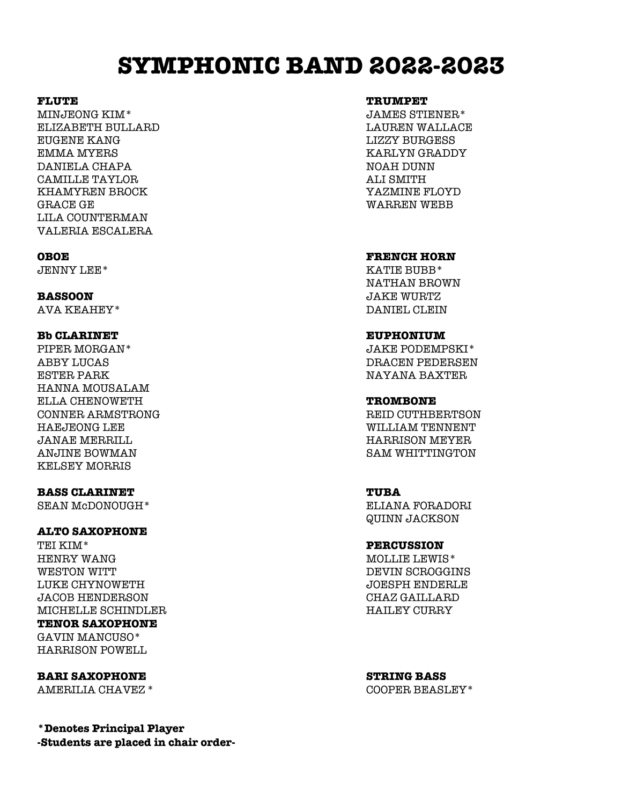# **SYMPHONIC BAND 2022-2023**

MINJEONG KIM\* JAMES STIENER\* ELIZABETH BULLARD LAUREN WALLACE EUGENE KANG LIZZY BURGESS EMMA MYERS KARLYN GRADDY DANIELA CHAPA NOAH DUNN CAMILLE TAYLOR GAMING ALI SMITH KHAMYREN BROCK WEITHER THE YAZMINE FLOYD GRACE GE GETS ON A SERIES OF THE WARREN WEBB LILA COUNTERMAN VALERIA ESCALERA

### **Bb CLARINET EUPHONIUM**

PIPER MORGAN\* THE RESERVE OF STREET AND THE PODEMPSKI FOR A STREET AND THE PODEMPSKI FOR A STREET AND THE PODEMPSKI FOR A STREET AND THE PODEMPSKI FOR A STREET AND THE PODEMPSKI FOR A STREET AND THE PODEMPSKI FOR A STREET ABBY LUCAS DRACEN PEDERSEN ESTER PARK NAYANA BAXTER HANNA MOUSALAM ELLA CHENOWETH **TROMBONE** CONNER ARMSTRONG GON BELL CUTHBERTSON HAEJEONG LEE WILLIAM TENNENT JANAE MERRILL HARRISON MEYER ANJINE BOWMAN SAM WHITTINGTON KELSEY MORRIS

### **BASS CLARINET TUBA**

SEAN McDONOUGH\* ELIANA FORADORI

### **ALTO SAXOPHONE**

TEI KIM\* **PERCUSSION** HENRY WANG GERMANIAN MOLLIE LEWIS \* WESTON WITT WESTON WITT LUKE CHYNOWETH JOESPH ENDERLE JACOB HENDERSON CHAZ GAILLARD MICHELLE SCHINDLER SERVICE SOMETIME AND THAILEY CURRY **TENOR SAXOPHONE** GAVIN MANCUSO\*

HARRISON POWELL

### **BARI SAXOPHONE STRING BASS**

AMERILIA CHAVEZ\* COOPER BEASLEY\*

**\*Denotes Principal Player -Students are placed in chair order-**

### **FLUTE TRUMPET**

### **OBOE FRENCH HORN**

JENNY LEE\* KATIE BUBB\* NATHAN BROWN **BASSOON** JAKE WURTZ AVA KEAHEY\* DANIEL CLEIN

# QUINN JACKSON